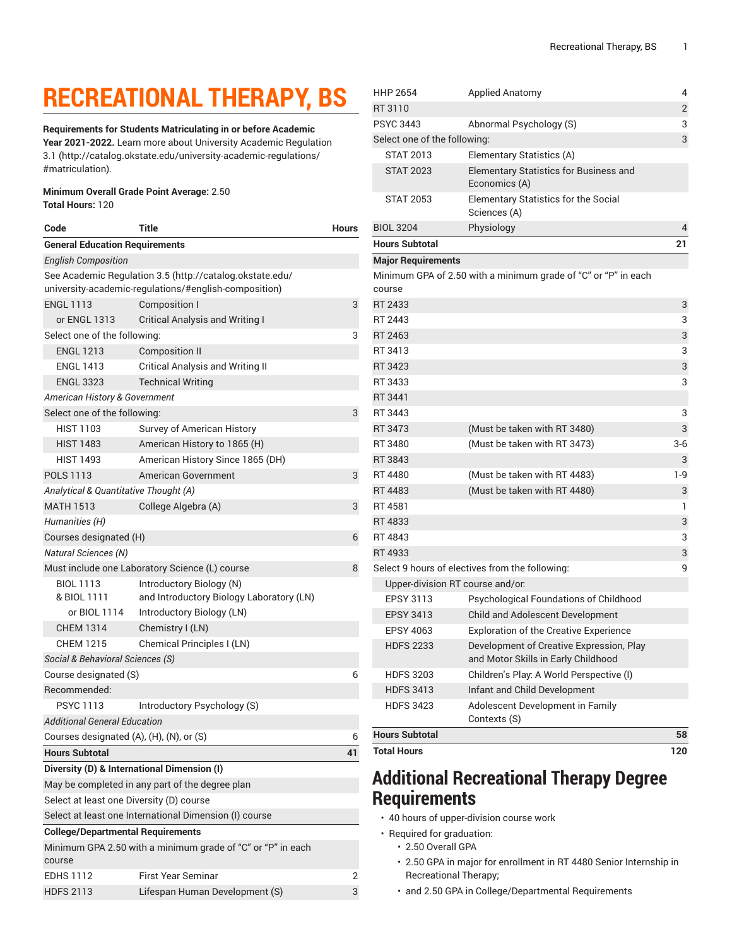## **RECREATIONAL THERAPY, BS**

**Requirements for Students Matriculating in or before Academic Year 2021-2022.** Learn more about University Academic [Regulation](http://catalog.okstate.edu/university-academic-regulations/#matriculation) [3.1](http://catalog.okstate.edu/university-academic-regulations/#matriculation) ([http://catalog.okstate.edu/university-academic-regulations/](http://catalog.okstate.edu/university-academic-regulations/#matriculation) [#matriculation\)](http://catalog.okstate.edu/university-academic-regulations/#matriculation).

## **Minimum Overall Grade Point Average:** 2.50 **Total Hours:** 120

| Code                                           | Title                                                       | Hours |
|------------------------------------------------|-------------------------------------------------------------|-------|
| <b>General Education Requirements</b>          |                                                             |       |
| <b>English Composition</b>                     |                                                             |       |
|                                                | See Academic Regulation 3.5 (http://catalog.okstate.edu/    |       |
|                                                | university-academic-regulations/#english-composition)       |       |
| <b>ENGL 1113</b>                               | Composition I                                               | 3     |
| or ENGL 1313                                   | <b>Critical Analysis and Writing I</b>                      |       |
| Select one of the following:                   |                                                             | 3     |
| <b>ENGL 1213</b>                               | <b>Composition II</b>                                       |       |
| <b>ENGL 1413</b>                               | <b>Critical Analysis and Writing II</b>                     |       |
| <b>ENGL 3323</b>                               | <b>Technical Writing</b>                                    |       |
| American History & Government                  |                                                             |       |
| Select one of the following:                   |                                                             |       |
| <b>HIST 1103</b>                               | Survey of American History                                  |       |
| <b>HIST 1483</b>                               | American History to 1865 (H)                                |       |
| <b>HIST 1493</b>                               | American History Since 1865 (DH)                            |       |
| <b>POLS 1113</b>                               | American Government                                         | 3     |
| Analytical & Quantitative Thought (A)          |                                                             |       |
| <b>MATH 1513</b>                               | College Algebra (A)                                         | 3     |
| Humanities (H)                                 |                                                             |       |
| Courses designated (H)                         |                                                             | 6     |
| <b>Natural Sciences (N)</b>                    |                                                             |       |
| Must include one Laboratory Science (L) course |                                                             | 8     |
| <b>BIOL 1113</b>                               | Introductory Biology (N)                                    |       |
| & BIOL 1111                                    | and Introductory Biology Laboratory (LN)                    |       |
| or BIOL 1114                                   | Introductory Biology (LN)                                   |       |
| <b>CHEM 1314</b>                               | Chemistry I (LN)                                            |       |
| CHEM 1215                                      | Chemical Principles I (LN)                                  |       |
| Social & Behavioral Sciences (S)               |                                                             |       |
| Course designated (S)                          |                                                             | 6     |
| Recommended:                                   |                                                             |       |
| <b>PSYC 1113</b>                               | Introductory Psychology (S)                                 |       |
| Additional General Education                   |                                                             |       |
| Courses designated (A), (H), (N), or (S)       |                                                             | 6     |
| <b>Hours Subtotal</b>                          |                                                             | 41    |
|                                                | Diversity (D) & International Dimension (I)                 |       |
|                                                | May be completed in any part of the degree plan             |       |
| Select at least one Diversity (D) course       |                                                             |       |
|                                                | Select at least one International Dimension (I) course      |       |
| <b>College/Departmental Requirements</b>       |                                                             |       |
|                                                | Minimum GPA 2.50 with a minimum grade of "C" or "P" in each |       |
| course                                         |                                                             |       |

EDHS 1112 First Year Seminar 2 HDFS 2113 Lifespan Human Development (S) 3

| <b>HHP 2654</b>                  | <b>Applied Anatomy</b>                                                          | 4              |
|----------------------------------|---------------------------------------------------------------------------------|----------------|
| RT 3110                          |                                                                                 | $\overline{2}$ |
| PSYC 3443                        | Abnormal Psychology (S)                                                         | 3              |
| Select one of the following:     |                                                                                 | 3              |
| <b>STAT 2013</b>                 | Elementary Statistics (A)                                                       |                |
| <b>STAT 2023</b>                 | Elementary Statistics for Business and<br>Economics (A)                         |                |
| <b>STAT 2053</b>                 | <b>Elementary Statistics for the Social</b><br>Sciences (A)                     |                |
| <b>BIOL 3204</b>                 | Physiology                                                                      | 4              |
| <b>Hours Subtotal</b>            |                                                                                 | 21             |
| <b>Major Requirements</b>        |                                                                                 |                |
|                                  | Minimum GPA of 2.50 with a minimum grade of "C" or "P" in each                  |                |
| course                           |                                                                                 |                |
| RT 2433                          |                                                                                 | 3              |
| RT 2443                          |                                                                                 | 3              |
| RT 2463                          |                                                                                 | 3              |
| RT 3413                          |                                                                                 | 3              |
| RT 3423                          |                                                                                 | 3              |
| RT 3433                          |                                                                                 | 3              |
| RT 3441                          |                                                                                 |                |
| RT 3443                          |                                                                                 | 3              |
| RT 3473                          | (Must be taken with RT 3480)                                                    | 3              |
| RT 3480                          | (Must be taken with RT 3473)                                                    | $3-6$          |
| RT 3843                          |                                                                                 | 3              |
| RT 4480                          | (Must be taken with RT 4483)                                                    | 1-9            |
| RT 4483                          | (Must be taken with RT 4480)                                                    | 3              |
| RT 4581                          |                                                                                 | 1              |
| RT 4833                          |                                                                                 | 3              |
| RT 4843                          |                                                                                 | 3              |
| RT 4933                          |                                                                                 | 3              |
|                                  | Select 9 hours of electives from the following:                                 | 9              |
| Upper-division RT course and/or. |                                                                                 |                |
| <b>EPSY 3113</b>                 | Psychological Foundations of Childhood                                          |                |
| <b>EPSY 3413</b>                 | Child and Adolescent Development                                                |                |
| <b>EPSY 4063</b>                 | <b>Exploration of the Creative Experience</b>                                   |                |
| <b>HDFS 2233</b>                 | Development of Creative Expression, Play<br>and Motor Skills in Early Childhood |                |
| <b>HDFS 3203</b>                 | Children's Play: A World Perspective (I)                                        |                |
| <b>HDFS 3413</b>                 | Infant and Child Development                                                    |                |
| <b>HDFS 3423</b>                 | Adolescent Development in Family<br>Contexts (S)                                |                |
| <b>Hours Subtotal</b>            |                                                                                 | 58             |
| <b>Total Hours</b>               |                                                                                 | 120            |

## **Additional Recreational Therapy Degree Requirements**

- 40 hours of upper-division course work
- Required for graduation:
	- 2.50 Overall GPA
	- 2.50 GPA in major for enrollment in RT 4480 Senior Internship in Recreational Therapy;
	- and 2.50 GPA in College/Departmental Requirements